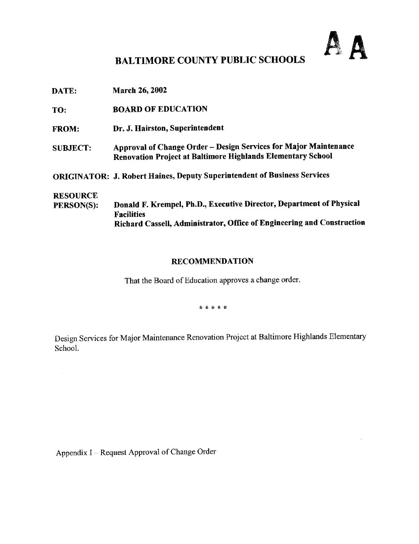# AA

## BALTIMORE COUNTY PUBLIC SCHOOLS

| DATE:                                | <b>March 26, 2002</b>                                                                                                                                               |
|--------------------------------------|---------------------------------------------------------------------------------------------------------------------------------------------------------------------|
| TO:                                  | <b>BOARD OF EDUCATION</b>                                                                                                                                           |
| <b>FROM:</b>                         | Dr. J. Hairston, Superintendent                                                                                                                                     |
| <b>SUBJECT:</b>                      | Approval of Change Order - Design Services for Major Maintenance<br>Renovation Project at Baltimore Highlands Elementary School                                     |
|                                      | <b>ORIGINATOR: J. Robert Haines, Deputy Superintendent of Business Services</b>                                                                                     |
| <b>RESOURCE</b><br><b>PERSON(S):</b> | Donald F. Krempel, Ph.D., Executive Director, Department of Physical<br><b>Facilities</b><br>Richard Cassell, Administrator, Office of Engineering and Construction |

#### **RECOMMENDATION**

That the Board of Education approves a change order.

\* \* \* \* \*

Design Services for Major Maintenance Renovation Project at Baltimore Highlands Elementary School.

Appendix <sup>I</sup> - Request Approval of Change Order